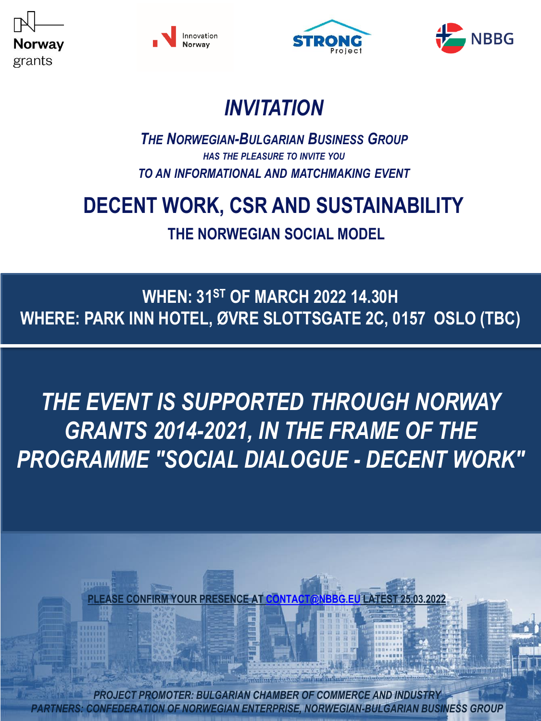







## *INVITATION*

#### *THE NORWEGIAN-BULGARIAN BUSINESS GROUP HAS THE PLEASURE TO INVITE YOU TO AN INFORMATIONAL AND MATCHMAKING EVENT*

## **DECENT WORK, CSR AND SUSTAINABILITY**

**THE NORWEGIAN SOCIAL MODEL**

### **WHEN: 31ST OF MARCH 2022 14.30H WHERE: PARK INN HOTEL, ØVRE SLOTTSGATE 2C, 0157 OSLO (TBC)**

# *THE EVENT IS SUPPORTED THROUGH NORWAY GRANTS 2014-2021, IN THE FRAME OF THE PROGRAMME "SOCIAL DIALOGUE - DECENT WORK"*

**PLEASE CONFIRM YOUR PRESENCE AT [CONTACT@NBBG.EU](mailto:contact@nbbg.eu) LATEST 25.03.2022**

*PROJECT PROMOTER: BULGARIAN CHAMBER OF COMMERCE AND INDUSTRY PARTNERS: CONFEDERATION OF NORWEGIAN ENTERPRISE, NORWEGIAN-BULGARIAN BUSINESS GROUP*